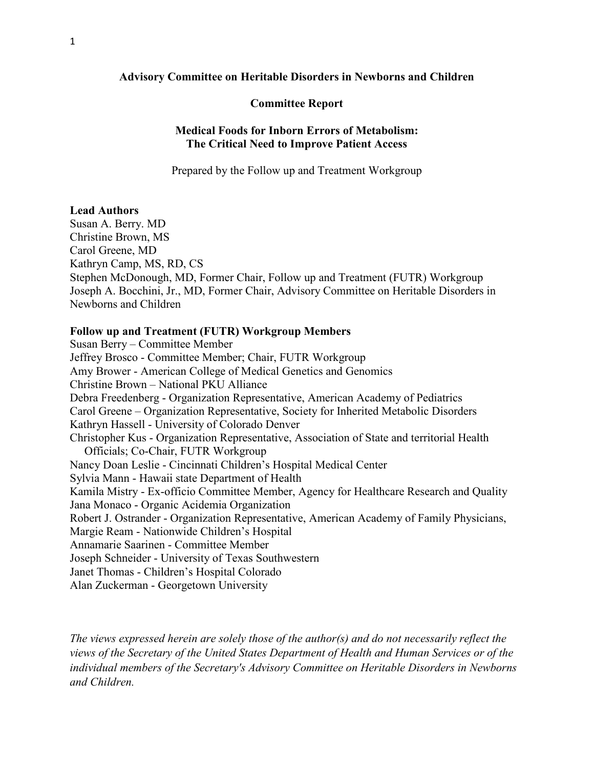## **Advisory Committee on Heritable Disorders in Newborns and Children**

## **Committee Report**

# **Medical Foods for Inborn Errors of Metabolism: The Critical Need to Improve Patient Access**

Prepared by the Follow up and Treatment Workgroup

## **Lead Authors**

Susan A. Berry. MD Christine Brown, MS Carol Greene, MD Kathryn Camp, MS, RD, CS Stephen McDonough, MD, Former Chair, Follow up and Treatment (FUTR) Workgroup Joseph A. Bocchini, Jr., MD, Former Chair, Advisory Committee on Heritable Disorders in Newborns and Children

# **Follow up and Treatment (FUTR) Workgroup Members**

Susan Berry – Committee Member Jeffrey Brosco - Committee Member; Chair, FUTR Workgroup Amy Brower - American College of Medical Genetics and Genomics Christine Brown – National PKU Alliance Debra Freedenberg - Organization Representative, American Academy of Pediatrics Carol Greene – Organization Representative, Society for Inherited Metabolic Disorders Kathryn Hassell - University of Colorado Denver Christopher Kus - Organization Representative, Association of State and territorial Health Officials; Co-Chair, FUTR Workgroup Nancy Doan Leslie - Cincinnati Children's Hospital Medical Center Sylvia Mann - Hawaii state Department of Health Kamila Mistry - Ex-officio Committee Member, Agency for Healthcare Research and Quality Jana Monaco - Organic Acidemia Organization Robert J. Ostrander - Organization Representative, American Academy of Family Physicians, Margie Ream - Nationwide Children's Hospital Annamarie Saarinen - Committee Member Joseph Schneider - University of Texas Southwestern Janet Thomas - Children's Hospital Colorado Alan Zuckerman - Georgetown University

*The views expressed herein are solely those of the author(s) and do not necessarily reflect the views of the Secretary of the United States Department of Health and Human Services or of the individual members of the Secretary's Advisory Committee on Heritable Disorders in Newborns and Children.*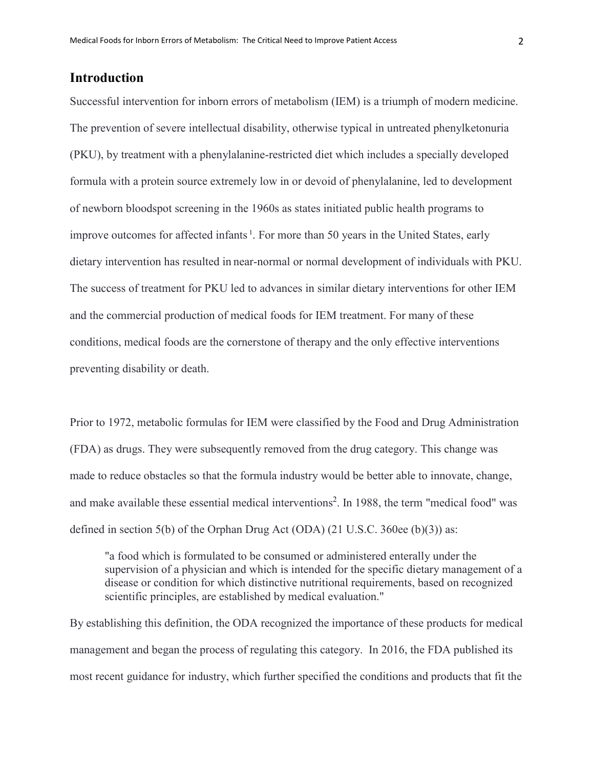# **Introduction**

Successful intervention for inborn errors of metabolism (IEM) is a triumph of modern medicine. The prevention of severe intellectual disability, otherwise typical in untreated phenylketonuria (PKU), by treatment with a phenylalanine-restricted diet which includes a specially developed formula with a protein source extremely low in or devoid of phenylalanine, led to development of newborn bloodspot screening in the 1960s as states initiated public health programs to improve outcomes for affected infants<sup>1</sup>. For more than 50 years in the United States, early dietary intervention has resulted in near-normal or normal development of individuals with PKU. The success of treatment for PKU led to advances in similar dietary interventions for other IEM and the commercial production of medical foods for IEM treatment. For many of these conditions, medical foods are the cornerstone of therapy and the only effective interventions preventing disability or death.

Prior to 1972, metabolic formulas for IEM were classified by the Food and Drug Administration (FDA) as drugs. They were subsequently removed from the drug category. This change was made to reduce obstacles so that the formula industry would be better able to innovate, change, and make available these essential medical interventions<sup>2</sup>. In 1988, the term "medical food" was defined in section 5(b) of the Orphan Drug Act (ODA) (21 U.S.C. 360ee (b)(3)) as:

"a food which is formulated to be consumed or administered enterally under the supervision of a physician and which is intended for the specific dietary management of a disease or condition for which distinctive nutritional requirements, based on recognized scientific principles, are established by medical evaluation."

By establishing this definition, the ODA recognized the importance of these products for medical management and began the process of regulating this category. In 2016, the FDA published its most recent guidance for industry, which further specified the conditions and products that fit the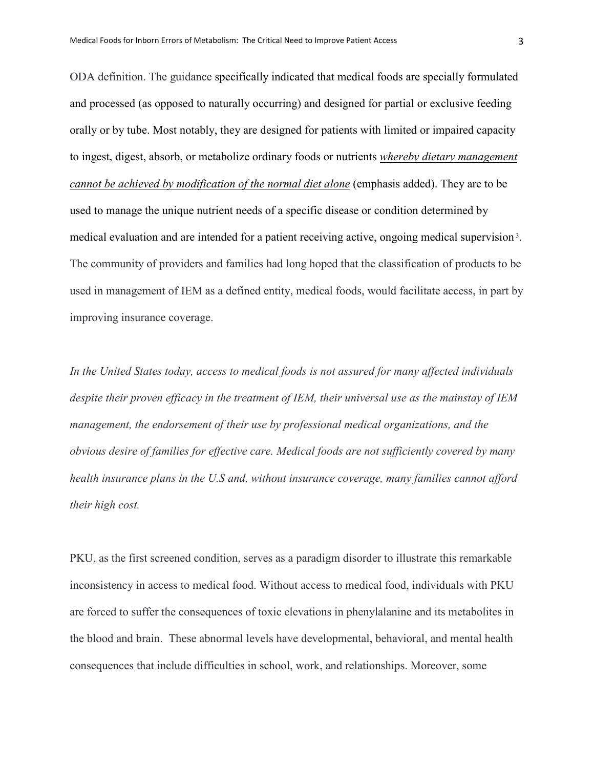ODA definition. The guidance specifically indicated that medical foods are specially formulated and processed (as opposed to naturally occurring) and designed for partial or exclusive feeding orally or by tube. Most notably, they are designed for patients with limited or impaired capacity to ingest, digest, absorb, or metabolize ordinary foods or nutrients *whereby dietary management cannot be achieved by modification of the normal diet alone* (emphasis added). They are to be used to manage the unique nutrient needs of a specific disease or condition determined by medical evaluation and are intended for a patient receiving active, ongoing medical supervision<sup>3</sup>. The community of providers and families had long hoped that the classification of products to be used in management of IEM as a defined entity, medical foods, would facilitate access, in part by improving insurance coverage.

*In the United States today, access to medical foods is not assured for many affected individuals despite their proven efficacy in the treatment of IEM, their universal use as the mainstay of IEM management, the endorsement of their use by professional medical organizations, and the obvious desire of families for effective care. Medical foods are not sufficiently covered by many health insurance plans in the U.S and, without insurance coverage, many families cannot afford their high cost.*

PKU, as the first screened condition, serves as a paradigm disorder to illustrate this remarkable inconsistency in access to medical food. Without access to medical food, individuals with PKU are forced to suffer the consequences of toxic elevations in phenylalanine and its metabolites in the blood and brain. These abnormal levels have developmental, behavioral, and mental health consequences that include difficulties in school, work, and relationships. Moreover, some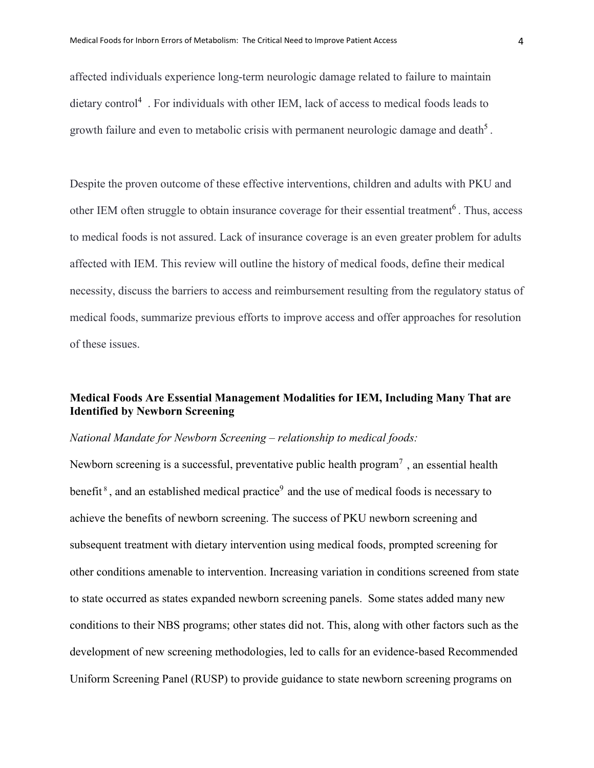affected individuals experience long-term neurologic damage related to failure to maintain dietary control4 . For individuals with other IEM, lack of access to medical foods leads to growth failure and even to metabolic crisis with permanent neurologic damage and death<sup>5</sup>.

Despite the proven outcome of these effective interventions, children and adults with PKU and other IEM often struggle to obtain insurance coverage for their essential treatment<sup>6</sup>. Thus, access to medical foods is not assured. Lack of insurance coverage is an even greater problem for adults affected with IEM. This review will outline the history of medical foods, define their medical necessity, discuss the barriers to access and reimbursement resulting from the regulatory status of medical foods, summarize previous efforts to improve access and offer approaches for resolution of these issues.

# **Medical Foods Are Essential Management Modalities for IEM, Including Many That are Identified by Newborn Screening**

# *National Mandate for Newborn Screening – relationship to medical foods:*

Newborn screening is a successful, preventative public health program<sup>7</sup>, an essential health benefit<sup>8</sup>, and an established medical practice<sup>9</sup> and the use of medical foods is necessary to achieve the benefits of newborn screening. The success of PKU newborn screening and subsequent treatment with dietary intervention using medical foods, prompted screening for other conditions amenable to intervention. Increasing variation in conditions screened from state to state occurred as states expanded newborn screening panels. Some states added many new conditions to their NBS programs; other states did not. This, along with other factors such as the development of new screening methodologies, led to calls for an evidence-based Recommended Uniform Screening Panel (RUSP) to provide guidance to state newborn screening programs on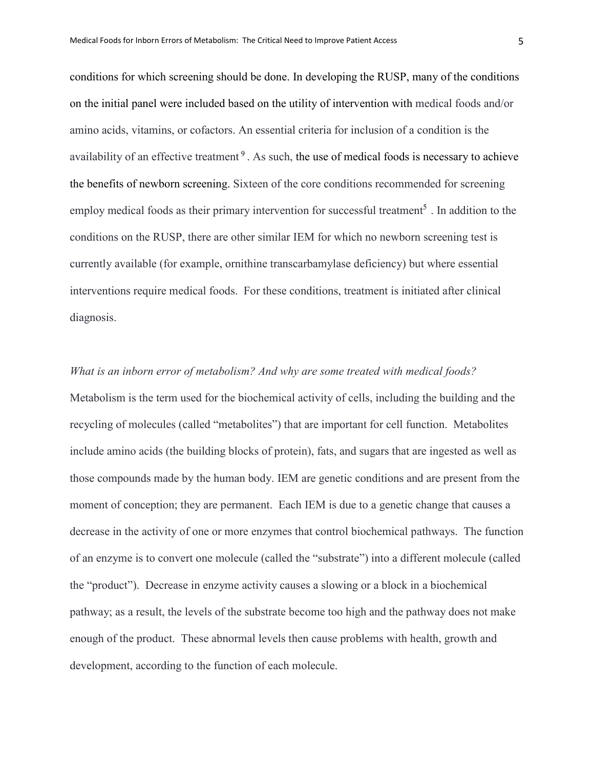conditions for which screening should be done. In developing the RUSP, many of the conditions on the initial panel were included based on the utility of intervention with medical foods and/or amino acids, vitamins, or cofactors. An essential criteria for inclusion of a condition is the availability of an effective treatment<sup>9</sup>. As such, the use of medical foods is necessary to achieve the benefits of newborn screening. Sixteen of the core conditions recommended for screening employ medical foods as their primary intervention for successful treatment<sup>5</sup>. In addition to the conditions on the RUSP, there are other similar IEM for which no newborn screening test is currently available (for example, ornithine transcarbamylase deficiency) but where essential interventions require medical foods. For these conditions, treatment is initiated after clinical diagnosis.

*What is an inborn error of metabolism? And why are some treated with medical foods?* Metabolism is the term used for the biochemical activity of cells, including the building and the recycling of molecules (called "metabolites") that are important for cell function. Metabolites include amino acids (the building blocks of protein), fats, and sugars that are ingested as well as those compounds made by the human body. IEM are genetic conditions and are present from the moment of conception; they are permanent. Each IEM is due to a genetic change that causes a decrease in the activity of one or more enzymes that control biochemical pathways. The function of an enzyme is to convert one molecule (called the "substrate") into a different molecule (called the "product"). Decrease in enzyme activity causes a slowing or a block in a biochemical pathway; as a result, the levels of the substrate become too high and the pathway does not make enough of the product. These abnormal levels then cause problems with health, growth and development, according to the function of each molecule.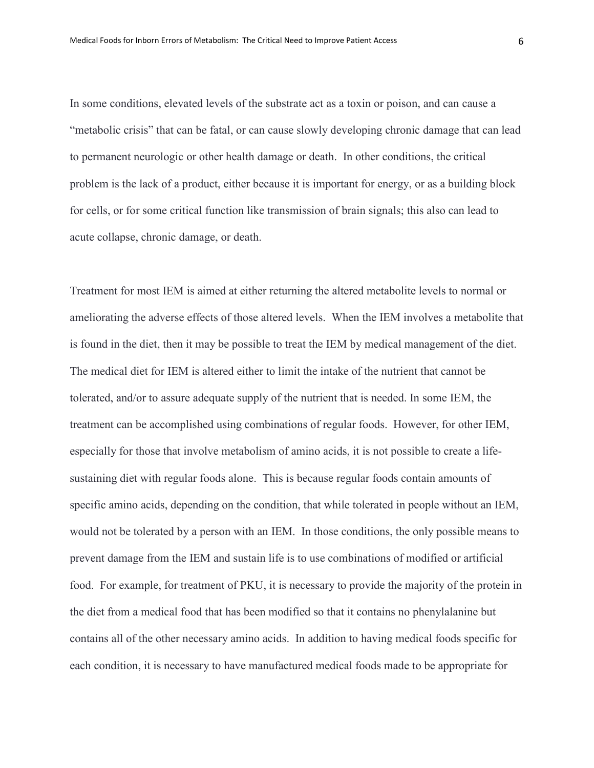In some conditions, elevated levels of the substrate act as a toxin or poison, and can cause a "metabolic crisis" that can be fatal, or can cause slowly developing chronic damage that can lead to permanent neurologic or other health damage or death. In other conditions, the critical problem is the lack of a product, either because it is important for energy, or as a building block for cells, or for some critical function like transmission of brain signals; this also can lead to acute collapse, chronic damage, or death.

Treatment for most IEM is aimed at either returning the altered metabolite levels to normal or ameliorating the adverse effects of those altered levels. When the IEM involves a metabolite that is found in the diet, then it may be possible to treat the IEM by medical management of the diet. The medical diet for IEM is altered either to limit the intake of the nutrient that cannot be tolerated, and/or to assure adequate supply of the nutrient that is needed. In some IEM, the treatment can be accomplished using combinations of regular foods. However, for other IEM, especially for those that involve metabolism of amino acids, it is not possible to create a lifesustaining diet with regular foods alone. This is because regular foods contain amounts of specific amino acids, depending on the condition, that while tolerated in people without an IEM, would not be tolerated by a person with an IEM. In those conditions, the only possible means to prevent damage from the IEM and sustain life is to use combinations of modified or artificial food. For example, for treatment of PKU, it is necessary to provide the majority of the protein in the diet from a medical food that has been modified so that it contains no phenylalanine but contains all of the other necessary amino acids. In addition to having medical foods specific for each condition, it is necessary to have manufactured medical foods made to be appropriate for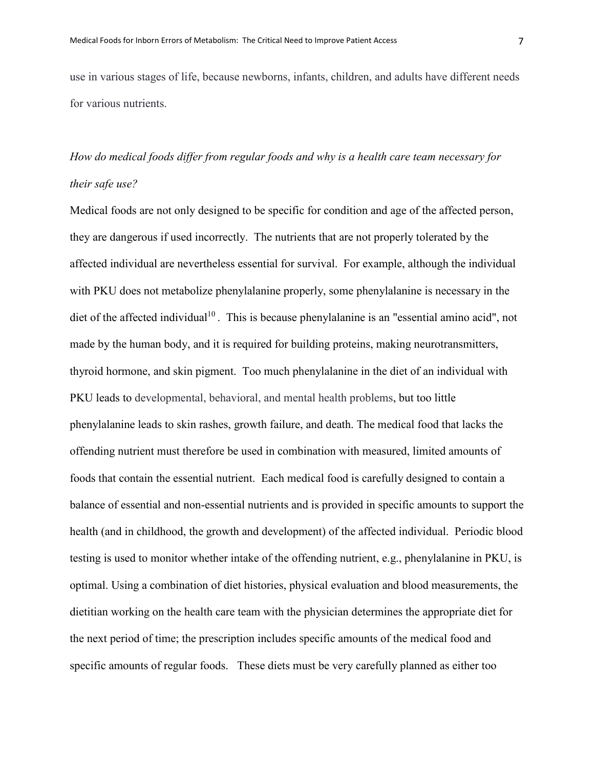use in various stages of life, because newborns, infants, children, and adults have different needs for various nutrients.

# *How do medical foods differ from regular foods and why is a health care team necessary for their safe use?*

Medical foods are not only designed to be specific for condition and age of the affected person, they are dangerous if used incorrectly. The nutrients that are not properly tolerated by the affected individual are nevertheless essential for survival. For example, although the individual with PKU does not metabolize phenylalanine properly, some phenylalanine is necessary in the diet of the affected individual<sup>10</sup>. This is because phenylalanine is an "essential amino acid", not made by the human body, and it is required for building proteins, making neurotransmitters, thyroid hormone, and skin pigment. Too much phenylalanine in the diet of an individual with PKU leads to developmental, behavioral, and mental health problems, but too little phenylalanine leads to skin rashes, growth failure, and death. The medical food that lacks the offending nutrient must therefore be used in combination with measured, limited amounts of foods that contain the essential nutrient. Each medical food is carefully designed to contain a balance of essential and non-essential nutrients and is provided in specific amounts to support the health (and in childhood, the growth and development) of the affected individual. Periodic blood testing is used to monitor whether intake of the offending nutrient, e.g., phenylalanine in PKU, is optimal. Using a combination of diet histories, physical evaluation and blood measurements, the dietitian working on the health care team with the physician determines the appropriate diet for the next period of time; the prescription includes specific amounts of the medical food and specific amounts of regular foods. These diets must be very carefully planned as either too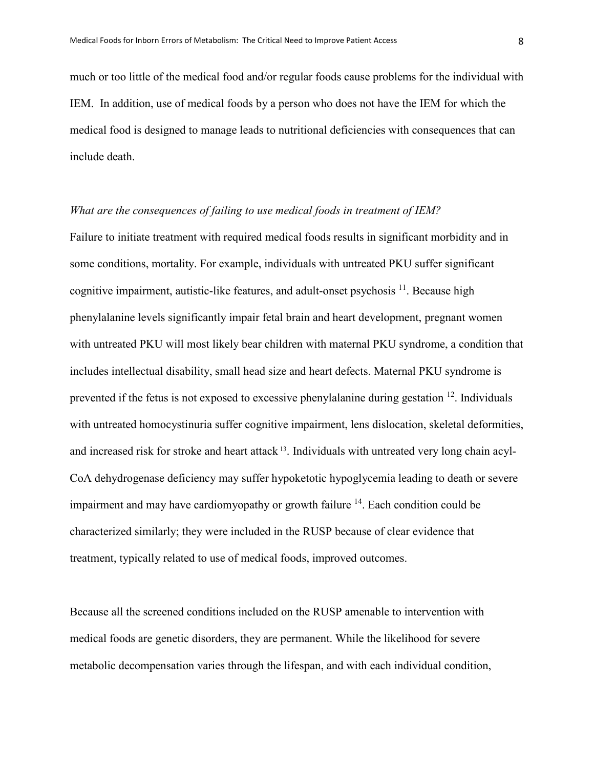much or too little of the medical food and/or regular foods cause problems for the individual with IEM. In addition, use of medical foods by a person who does not have the IEM for which the medical food is designed to manage leads to nutritional deficiencies with consequences that can include death.

# *What are the consequences of failing to use medical foods in treatment of IEM?*

Failure to initiate treatment with required medical foods results in significant morbidity and in some conditions, mortality. For example, individuals with untreated PKU suffer significant cognitive impairment, autistic-like features, and adult-onset psychosis  $^{11}$ . Because high phenylalanine levels significantly impair fetal brain and heart development, pregnant women with untreated PKU will most likely bear children with maternal PKU syndrome, a condition that includes intellectual disability, small head size and heart defects. Maternal PKU syndrome is prevented if the fetus is not exposed to excessive phenylalanine during gestation <sup>12</sup>. Individuals with untreated homocystinuria suffer cognitive impairment, lens dislocation, skeletal deformities, and increased risk for stroke and heart attack 13. Individuals with untreated very long chain acyl-CoA dehydrogenase deficiency may suffer hypoketotic hypoglycemia leading to death or severe impairment and may have cardiomy opathy or growth failure  $14$ . Each condition could be characterized similarly; they were included in the RUSP because of clear evidence that treatment, typically related to use of medical foods, improved outcomes.

Because all the screened conditions included on the RUSP amenable to intervention with medical foods are genetic disorders, they are permanent. While the likelihood for severe metabolic decompensation varies through the lifespan, and with each individual condition,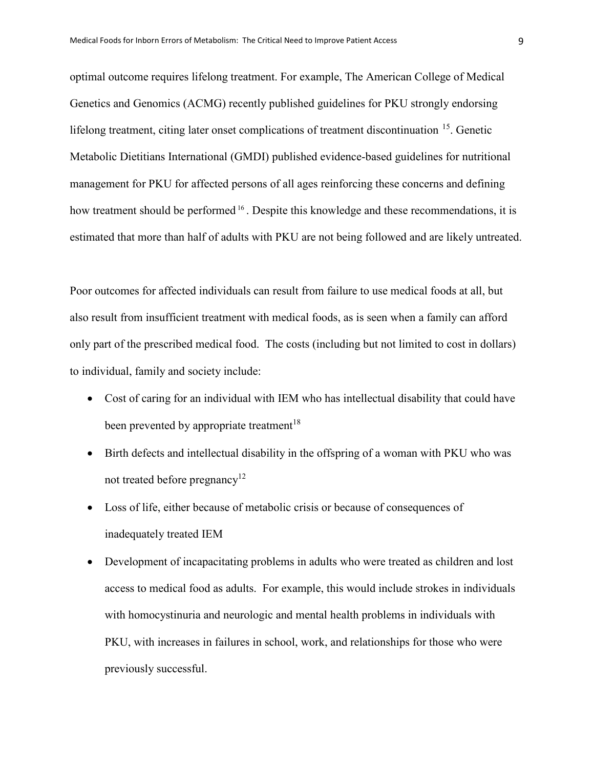optimal outcome requires lifelong treatment. For example, The American College of Medical Genetics and Genomics (ACMG) recently published guidelines for PKU strongly endorsing lifelong treatment, citing later onset complications of treatment discontinuation <sup>15</sup>. Genetic Metabolic Dietitians International (GMDI) published evidence-based guidelines for nutritional management for PKU for affected persons of all ages reinforcing these concerns and defining how treatment should be performed <sup>16</sup>. Despite this knowledge and these recommendations, it is estimated that more than half of adults with PKU are not being followed and are likely untreated.

Poor outcomes for affected individuals can result from failure to use medical foods at all, but also result from insufficient treatment with medical foods, as is seen when a family can afford only part of the prescribed medical food. The costs (including but not limited to cost in dollars) to individual, family and society include:

- Cost of caring for an individual with IEM who has intellectual disability that could have been prevented by appropriate treatment<sup>18</sup>
- Birth defects and intellectual disability in the offspring of a woman with PKU who was not treated before pregnancy<sup>12</sup>
- Loss of life, either because of metabolic crisis or because of consequences of inadequately treated IEM
- Development of incapacitating problems in adults who were treated as children and lost access to medical food as adults. For example, this would include strokes in individuals with homocystinuria and neurologic and mental health problems in individuals with PKU, with increases in failures in school, work, and relationships for those who were previously successful.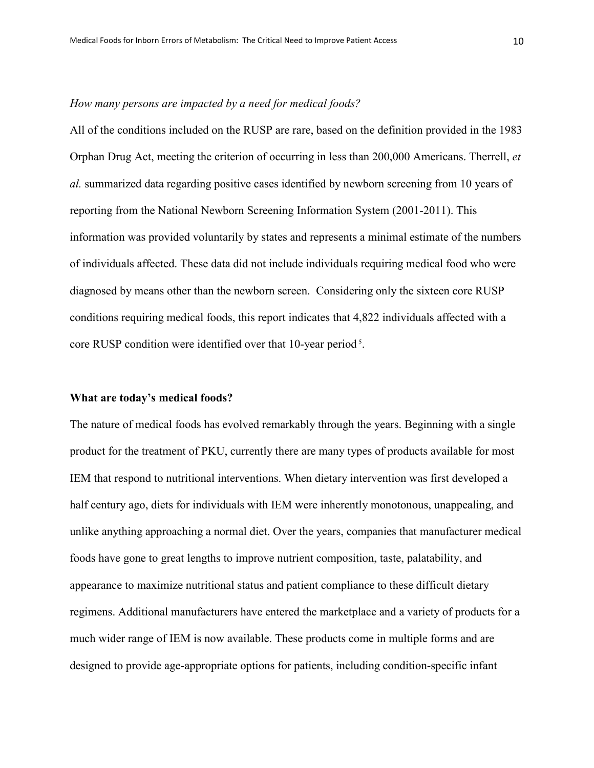## *How many persons are impacted by a need for medical foods?*

All of the conditions included on the RUSP are rare, based on the definition provided in the 1983 Orphan Drug Act, meeting the criterion of occurring in less than 200,000 Americans. Therrell, *et al.* summarized data regarding positive cases identified by newborn screening from 10 years of reporting from the National Newborn Screening Information System (2001-2011). This information was provided voluntarily by states and represents a minimal estimate of the numbers of individuals affected. These data did not include individuals requiring medical food who were diagnosed by means other than the newborn screen. Considering only the sixteen core RUSP conditions requiring medical foods, this report indicates that 4,822 individuals affected with a core RUSP condition were identified over that 10-year period<sup>5</sup>.

#### **What are today's medical foods?**

The nature of medical foods has evolved remarkably through the years. Beginning with a single product for the treatment of PKU, currently there are many types of products available for most IEM that respond to nutritional interventions. When dietary intervention was first developed a half century ago, diets for individuals with IEM were inherently monotonous, unappealing, and unlike anything approaching a normal diet. Over the years, companies that manufacturer medical foods have gone to great lengths to improve nutrient composition, taste, palatability, and appearance to maximize nutritional status and patient compliance to these difficult dietary regimens. Additional manufacturers have entered the marketplace and a variety of products for a much wider range of IEM is now available. These products come in multiple forms and are designed to provide age-appropriate options for patients, including condition-specific infant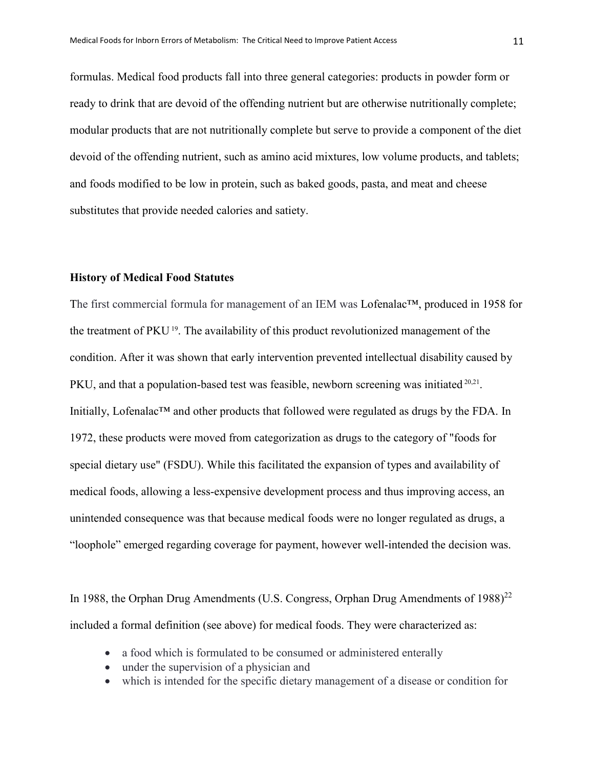formulas. Medical food products fall into three general categories: products in powder form or ready to drink that are devoid of the offending nutrient but are otherwise nutritionally complete; modular products that are not nutritionally complete but serve to provide a component of the diet devoid of the offending nutrient, such as amino acid mixtures, low volume products, and tablets; and foods modified to be low in protein, such as baked goods, pasta, and meat and cheese substitutes that provide needed calories and satiety.

## **History of Medical Food Statutes**

The first commercial formula for management of an IEM was Lofenalac™, produced in 1958 for the treatment of PKU 19. The availability of this product revolutionized management of the condition. After it was shown that early intervention prevented intellectual disability caused by PKU, and that a population-based test was feasible, newborn screening was initiated <sup>20,21</sup>. Initially, Lofenalac™ and other products that followed were regulated as drugs by the FDA. In 1972, these products were moved from categorization as drugs to the category of "foods for special dietary use" (FSDU). While this facilitated the expansion of types and availability of medical foods, allowing a less-expensive development process and thus improving access, an unintended consequence was that because medical foods were no longer regulated as drugs, a "loophole" emerged regarding coverage for payment, however well-intended the decision was.

In 1988, the Orphan Drug Amendments (U.S. Congress, Orphan Drug Amendments of  $1988$ )<sup>22</sup> included a formal definition (see above) for medical foods. They were characterized as:

- a food which is formulated to be consumed or administered enterally
- under the supervision of a physician and
- which is intended for the specific dietary management of a disease or condition for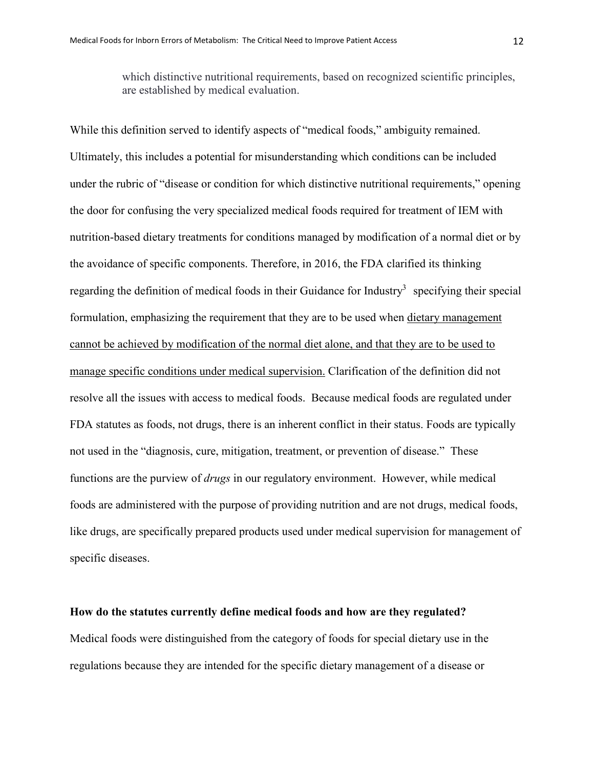which distinctive nutritional requirements, based on recognized scientific principles, are established by medical evaluation.

While this definition served to identify aspects of "medical foods," ambiguity remained. Ultimately, this includes a potential for misunderstanding which conditions can be included under the rubric of "disease or condition for which distinctive nutritional requirements," opening the door for confusing the very specialized medical foods required for treatment of IEM with nutrition-based dietary treatments for conditions managed by modification of a normal diet or by the avoidance of specific components. Therefore, in 2016, the FDA clarified its thinking regarding the definition of medical foods in their Guidance for Industry<sup>3</sup> specifying their special formulation, emphasizing the requirement that they are to be used when dietary management cannot be achieved by modification of the normal diet alone, and that they are to be used to manage specific conditions under medical supervision. Clarification of the definition did not resolve all the issues with access to medical foods. Because medical foods are regulated under FDA statutes as foods, not drugs, there is an inherent conflict in their status. Foods are typically not used in the "diagnosis, cure, mitigation, treatment, or prevention of disease." These functions are the purview of *drugs* in our regulatory environment. However, while medical foods are administered with the purpose of providing nutrition and are not drugs, medical foods, like drugs, are specifically prepared products used under medical supervision for management of specific diseases.

## **How do the statutes currently define medical foods and how are they regulated?**

Medical foods were distinguished from the category of foods for special dietary use in the regulations because they are intended for the specific dietary management of a disease or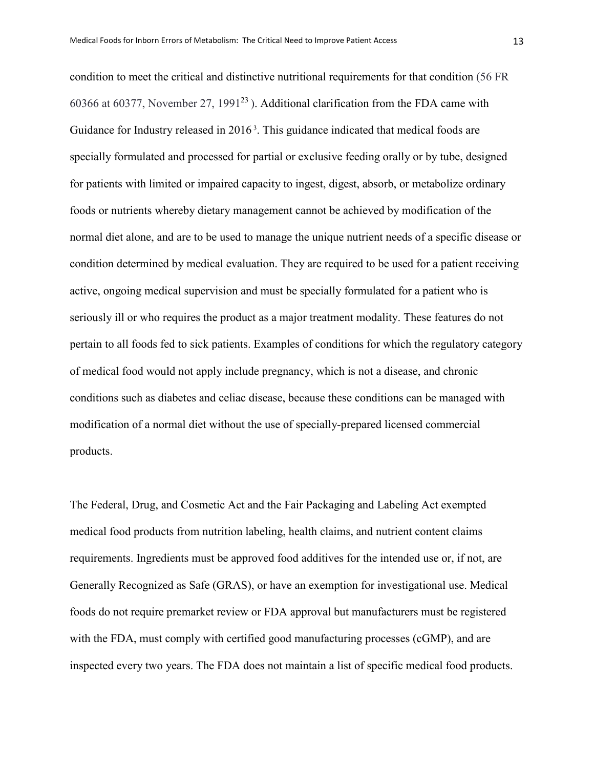condition to meet the critical and distinctive nutritional requirements for that condition (56 FR 60366 at 60377, November 27, 1991 $^{23}$ ). Additional clarification from the FDA came with Guidance for Industry released in 2016<sup>3</sup>. This guidance indicated that medical foods are specially formulated and processed for partial or exclusive feeding orally or by tube, designed for patients with limited or impaired capacity to ingest, digest, absorb, or metabolize ordinary foods or nutrients whereby dietary management cannot be achieved by modification of the normal diet alone, and are to be used to manage the unique nutrient needs of a specific disease or condition determined by medical evaluation. They are required to be used for a patient receiving active, ongoing medical supervision and must be specially formulated for a patient who is seriously ill or who requires the product as a major treatment modality. These features do not pertain to all foods fed to sick patients. Examples of conditions for which the regulatory category of medical food would not apply include pregnancy, which is not a disease, and chronic conditions such as diabetes and celiac disease, because these conditions can be managed with modification of a normal diet without the use of specially-prepared licensed commercial products.

The Federal, Drug, and Cosmetic Act and the Fair Packaging and Labeling Act exempted medical food products from nutrition labeling, health claims, and nutrient content claims requirements. Ingredients must be approved food additives for the intended use or, if not, are Generally Recognized as Safe (GRAS), or have an exemption for investigational use. Medical foods do not require premarket review or FDA approval but manufacturers must be registered with the FDA, must comply with certified good manufacturing processes (cGMP), and are inspected every two years. The FDA does not maintain a list of specific medical food products.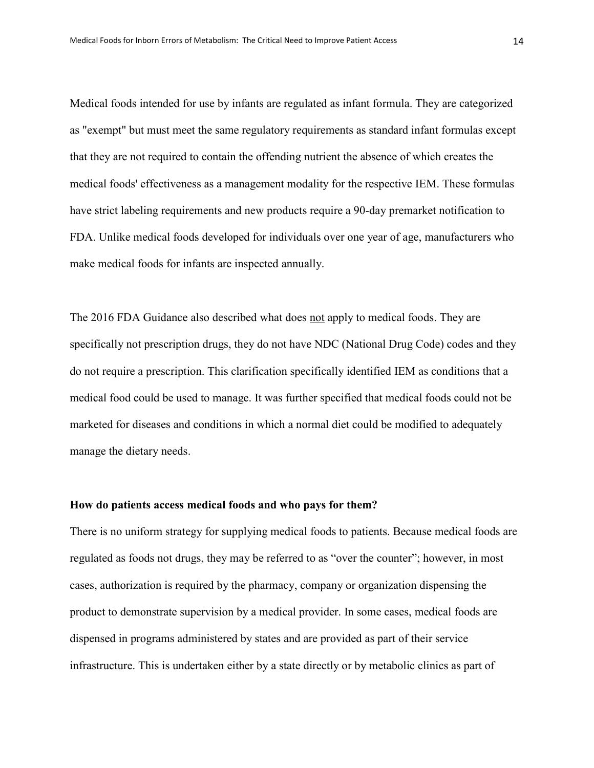Medical foods intended for use by infants are regulated as infant formula. They are categorized as "exempt" but must meet the same regulatory requirements as standard infant formulas except that they are not required to contain the offending nutrient the absence of which creates the medical foods' effectiveness as a management modality for the respective IEM. These formulas have strict labeling requirements and new products require a 90-day premarket notification to FDA. Unlike medical foods developed for individuals over one year of age, manufacturers who make medical foods for infants are inspected annually.

The 2016 FDA Guidance also described what does not apply to medical foods. They are specifically not prescription drugs, they do not have NDC (National Drug Code) codes and they do not require a prescription. This clarification specifically identified IEM as conditions that a medical food could be used to manage. It was further specified that medical foods could not be marketed for diseases and conditions in which a normal diet could be modified to adequately manage the dietary needs.

# **How do patients access medical foods and who pays for them?**

There is no uniform strategy for supplying medical foods to patients. Because medical foods are regulated as foods not drugs, they may be referred to as "over the counter"; however, in most cases, authorization is required by the pharmacy, company or organization dispensing the product to demonstrate supervision by a medical provider. In some cases, medical foods are dispensed in programs administered by states and are provided as part of their service infrastructure. This is undertaken either by a state directly or by metabolic clinics as part of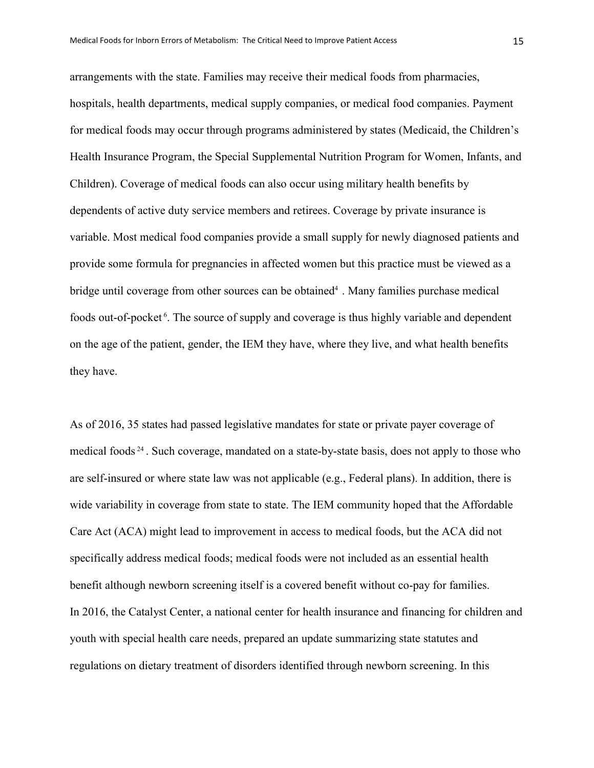arrangements with the state. Families may receive their medical foods from pharmacies, hospitals, health departments, medical supply companies, or medical food companies. Payment for medical foods may occur through programs administered by states (Medicaid, the Children's Health Insurance Program, the Special Supplemental Nutrition Program for Women, Infants, and Children). Coverage of medical foods can also occur using military health benefits by dependents of active duty service members and retirees. Coverage by private insurance is variable. Most medical food companies provide a small supply for newly diagnosed patients and provide some formula for pregnancies in affected women but this practice must be viewed as a bridge until coverage from other sources can be obtained<sup>4</sup>. Many families purchase medical foods out-of-pocket<sup>6</sup>. The source of supply and coverage is thus highly variable and dependent on the age of the patient, gender, the IEM they have, where they live, and what health benefits they have.

As of 2016, 35 states had passed legislative mandates for state or private payer coverage of medical foods <sup>24</sup> . Such coverage, mandated on a state-by-state basis, does not apply to those who are self-insured or where state law was not applicable (e.g., Federal plans). In addition, there is wide variability in coverage from state to state. The IEM community hoped that the Affordable Care Act (ACA) might lead to improvement in access to medical foods, but the ACA did not specifically address medical foods; medical foods were not included as an essential health benefit although newborn screening itself is a covered benefit without co-pay for families. In 2016, the Catalyst Center, a national center for health insurance and financing for children and youth with special health care needs, prepared an update summarizing state statutes and regulations on dietary treatment of disorders identified through newborn screening. In this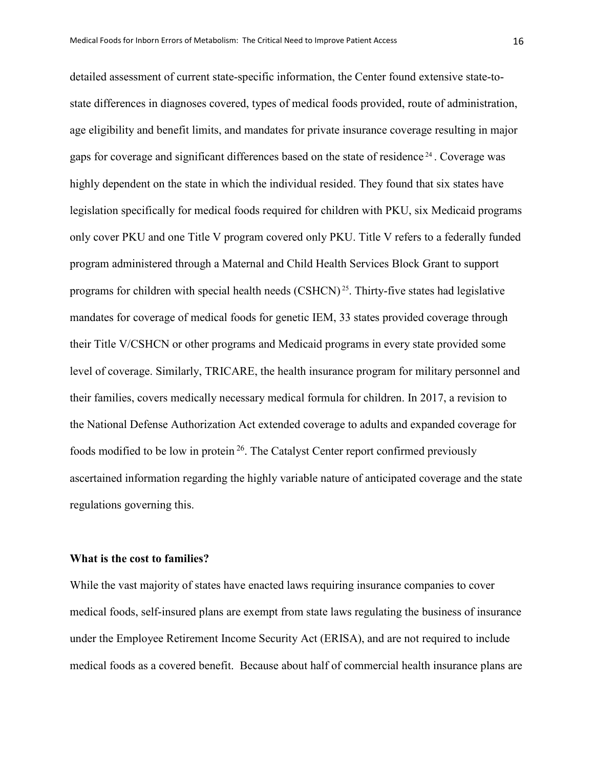detailed assessment of current state-specific information, the Center found extensive state-tostate differences in diagnoses covered, types of medical foods provided, route of administration, age eligibility and benefit limits, and mandates for private insurance coverage resulting in major gaps for coverage and significant differences based on the state of residence <sup>24</sup> . Coverage was highly dependent on the state in which the individual resided. They found that six states have legislation specifically for medical foods required for children with PKU, six Medicaid programs only cover PKU and one Title V program covered only PKU. Title V refers to a federally funded program administered through a Maternal and Child Health Services Block Grant to support programs for children with special health needs  $\text{(CSHCN)}^{25}$ . Thirty-five states had legislative mandates for coverage of medical foods for genetic IEM, 33 states provided coverage through their Title V/CSHCN or other programs and Medicaid programs in every state provided some level of coverage. Similarly, TRICARE, the health insurance program for military personnel and their families, covers medically necessary medical formula for children. In 2017, a revision to the National Defense Authorization Act extended coverage to adults and expanded coverage for foods modified to be low in protein  $26$ . The Catalyst Center report confirmed previously ascertained information regarding the highly variable nature of anticipated coverage and the state regulations governing this.

#### **What is the cost to families?**

While the vast majority of states have enacted laws requiring insurance companies to cover medical foods, self-insured plans are exempt from state laws regulating the business of insurance under the Employee Retirement Income Security Act (ERISA), and are not required to include medical foods as a covered benefit. Because about half of commercial health insurance plans are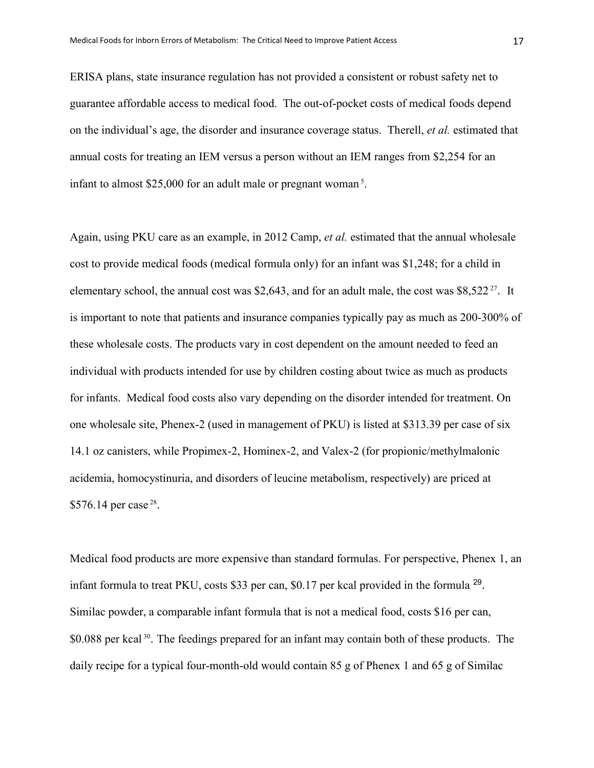ERISA plans, state insurance regulation has not provided a consistent or robust safety net to guarantee affordable access to medical food. The out-of-pocket costs of medical foods depend on the individual's age, the disorder and insurance coverage status. Therell, *et al.* estimated that annual costs for treating an IEM versus a person without an IEM ranges from \$2,254 for an infant to almost \$25,000 for an adult male or pregnant woman <sup>5</sup> .

Again, using PKU care as an example, in 2012 Camp, *et al.* estimated that the annual wholesale cost to provide medical foods (medical formula only) for an infant was \$1,248; for a child in elementary school, the annual cost was \$2,643, and for an adult male, the cost was \$8,522 $^{27}$ . It is important to note that patients and insurance companies typically pay as much as 200-300% of these wholesale costs. The products vary in cost dependent on the amount needed to feed an individual with products intended for use by children costing about twice as much as products for infants. Medical food costs also vary depending on the disorder intended for treatment. On one wholesale site, Phenex-2 (used in management of PKU) is listed at \$313.39 per case of six 14.1 oz canisters, while Propimex-2, Hominex-2, and Valex-2 (for propionic/methylmalonic acidemia, homocystinuria, and disorders of leucine metabolism, respectively) are priced at \$576.14 per case<sup>28</sup>.

Medical food products are more expensive than standard formulas. For perspective, Phenex 1, an infant formula to treat PKU, costs \$33 per can, \$0.17 per kcal provided in the formula 29. Similac powder, a comparable infant formula that is not a medical food, costs \$16 per can, \$0.088 per kcal<sup>30</sup>. The feedings prepared for an infant may contain both of these products. The daily recipe for a typical four-month-old would contain 85 g of Phenex 1 and 65 g of Similac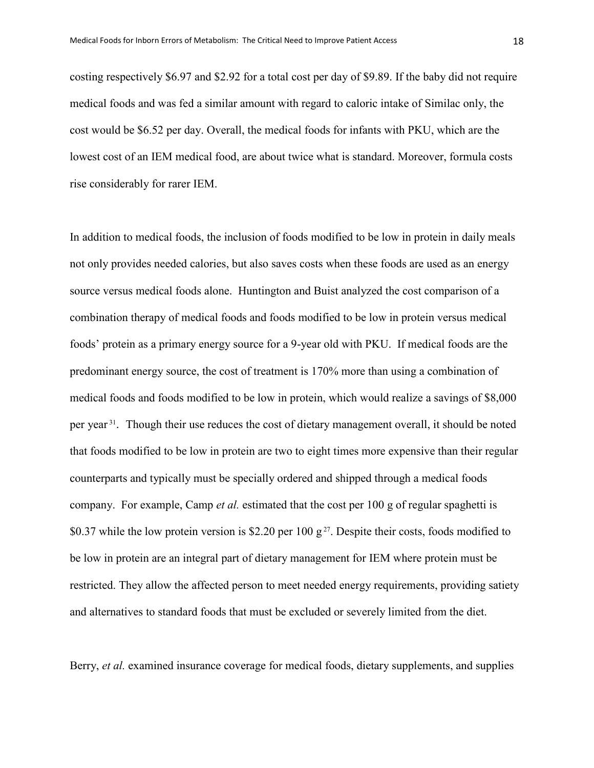costing respectively \$6.97 and \$2.92 for a total cost per day of \$9.89. If the baby did not require medical foods and was fed a similar amount with regard to caloric intake of Similac only, the cost would be \$6.52 per day. Overall, the medical foods for infants with PKU, which are the lowest cost of an IEM medical food, are about twice what is standard. Moreover, formula costs rise considerably for rarer IEM.

In addition to medical foods, the inclusion of foods modified to be low in protein in daily meals not only provides needed calories, but also saves costs when these foods are used as an energy source versus medical foods alone. Huntington and Buist analyzed the cost comparison of a combination therapy of medical foods and foods modified to be low in protein versus medical foods' protein as a primary energy source for a 9-year old with PKU. If medical foods are the predominant energy source, the cost of treatment is 170% more than using a combination of medical foods and foods modified to be low in protein, which would realize a savings of \$8,000 per year<sup>31</sup>. Though their use reduces the cost of dietary management overall, it should be noted that foods modified to be low in protein are two to eight times more expensive than their regular counterparts and typically must be specially ordered and shipped through a medical foods company. For example, Camp *et al.* estimated that the cost per 100 g of regular spaghetti is \$0.37 while the low protein version is \$2.20 per 100  $g^{27}$ . Despite their costs, foods modified to be low in protein are an integral part of dietary management for IEM where protein must be restricted. They allow the affected person to meet needed energy requirements, providing satiety and alternatives to standard foods that must be excluded or severely limited from the diet.

Berry, *et al.* examined insurance coverage for medical foods, dietary supplements, and supplies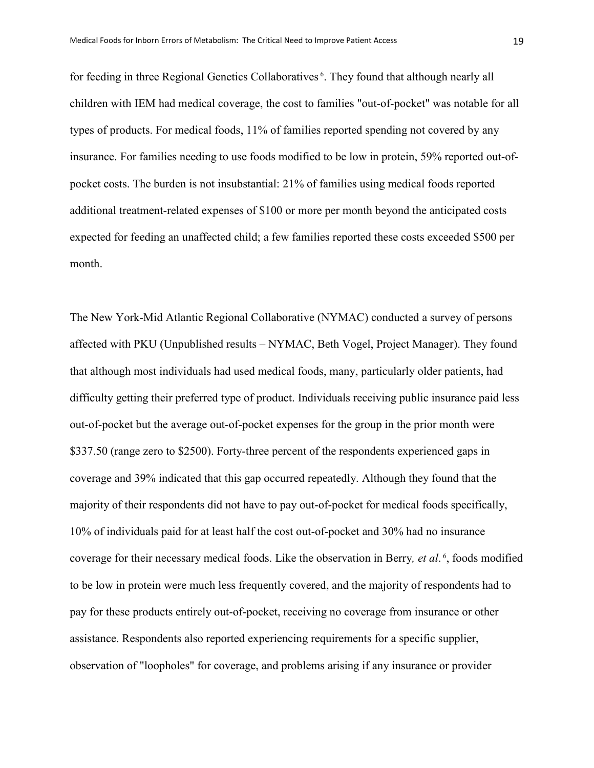for feeding in three Regional Genetics Collaboratives<sup>6</sup>. They found that although nearly all children with IEM had medical coverage, the cost to families "out-of-pocket" was notable for all types of products. For medical foods, 11% of families reported spending not covered by any insurance. For families needing to use foods modified to be low in protein, 59% reported out-ofpocket costs. The burden is not insubstantial: 21% of families using medical foods reported additional treatment-related expenses of \$100 or more per month beyond the anticipated costs expected for feeding an unaffected child; a few families reported these costs exceeded \$500 per month.

The New York-Mid Atlantic Regional Collaborative (NYMAC) conducted a survey of persons affected with PKU (Unpublished results – NYMAC, Beth Vogel, Project Manager). They found that although most individuals had used medical foods, many, particularly older patients, had difficulty getting their preferred type of product. Individuals receiving public insurance paid less out-of-pocket but the average out-of-pocket expenses for the group in the prior month were \$337.50 (range zero to \$2500). Forty-three percent of the respondents experienced gaps in coverage and 39% indicated that this gap occurred repeatedly. Although they found that the majority of their respondents did not have to pay out-of-pocket for medical foods specifically, 10% of individuals paid for at least half the cost out-of-pocket and 30% had no insurance coverage for their necessary medical foods. Like the observation in Berry*, et al*. <sup>6</sup> , foods modified to be low in protein were much less frequently covered, and the majority of respondents had to pay for these products entirely out-of-pocket, receiving no coverage from insurance or other assistance. Respondents also reported experiencing requirements for a specific supplier, observation of "loopholes" for coverage, and problems arising if any insurance or provider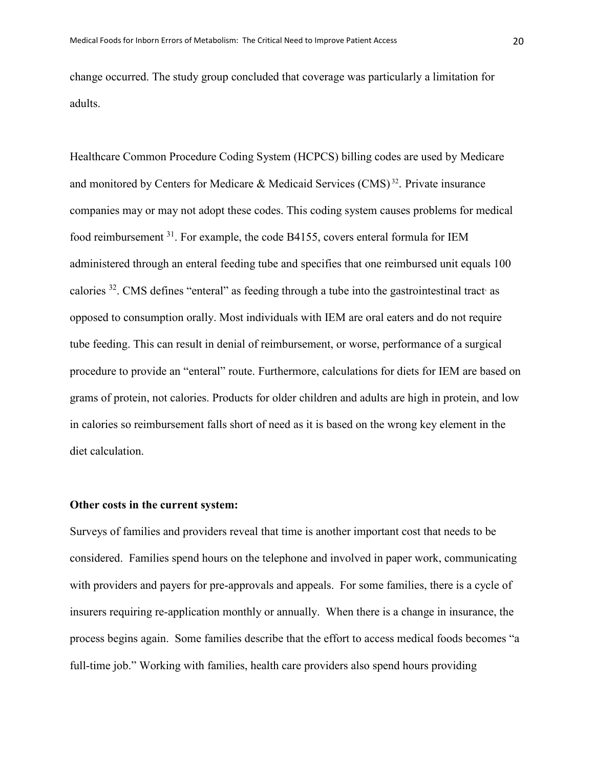change occurred. The study group concluded that coverage was particularly a limitation for adults.

Healthcare Common Procedure Coding System (HCPCS) billing codes are used by Medicare and monitored by Centers for Medicare & Medicaid Services (CMS) <sup>32</sup>. Private insurance companies may or may not adopt these codes. This coding system causes problems for medical food reimbursement 31. For example, the code B4155, covers enteral formula for IEM administered through an enteral feeding tube and specifies that one reimbursed unit equals 100 calories  $32$ . CMS defines "enteral" as feeding through a tube into the gastrointestinal tract as opposed to consumption orally. Most individuals with IEM are oral eaters and do not require tube feeding. This can result in denial of reimbursement, or worse, performance of a surgical procedure to provide an "enteral" route. Furthermore, calculations for diets for IEM are based on grams of protein, not calories. Products for older children and adults are high in protein, and low in calories so reimbursement falls short of need as it is based on the wrong key element in the diet calculation.

# **Other costs in the current system:**

Surveys of families and providers reveal that time is another important cost that needs to be considered. Families spend hours on the telephone and involved in paper work, communicating with providers and payers for pre-approvals and appeals. For some families, there is a cycle of insurers requiring re-application monthly or annually. When there is a change in insurance, the process begins again. Some families describe that the effort to access medical foods becomes "a full-time job." Working with families, health care providers also spend hours providing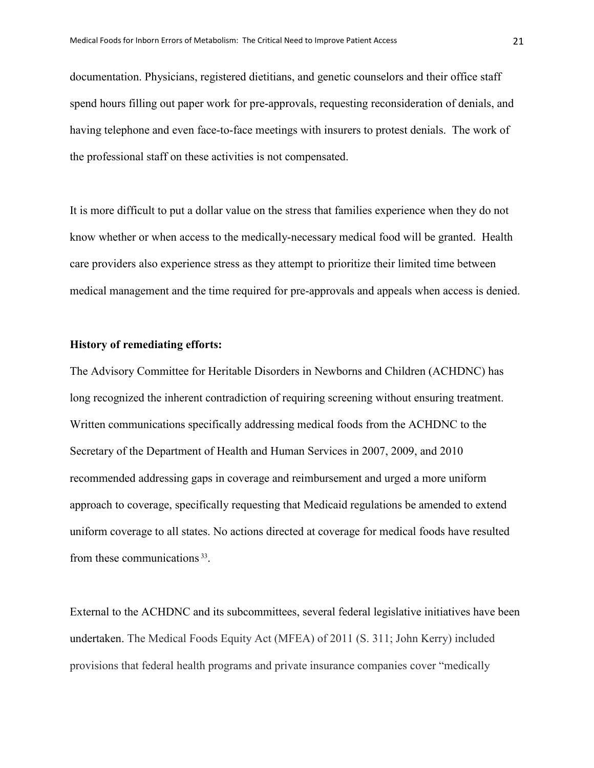documentation. Physicians, registered dietitians, and genetic counselors and their office staff spend hours filling out paper work for pre-approvals, requesting reconsideration of denials, and having telephone and even face-to-face meetings with insurers to protest denials. The work of the professional staff on these activities is not compensated.

It is more difficult to put a dollar value on the stress that families experience when they do not know whether or when access to the medically-necessary medical food will be granted. Health care providers also experience stress as they attempt to prioritize their limited time between medical management and the time required for pre-approvals and appeals when access is denied.

## **History of remediating efforts:**

The Advisory Committee for Heritable Disorders in Newborns and Children (ACHDNC) has long recognized the inherent contradiction of requiring screening without ensuring treatment. Written communications specifically addressing medical foods from the ACHDNC to the Secretary of the Department of Health and Human Services in 2007, 2009, and 2010 recommended addressing gaps in coverage and reimbursement and urged a more uniform approach to coverage, specifically requesting that Medicaid regulations be amended to extend uniform coverage to all states. No actions directed at coverage for medical foods have resulted from these communications 33.

External to the ACHDNC and its subcommittees, several federal legislative initiatives have been undertaken. The Medical Foods Equity Act (MFEA) of 2011 (S. 311; John Kerry) included provisions that federal health programs and private insurance companies cover "medically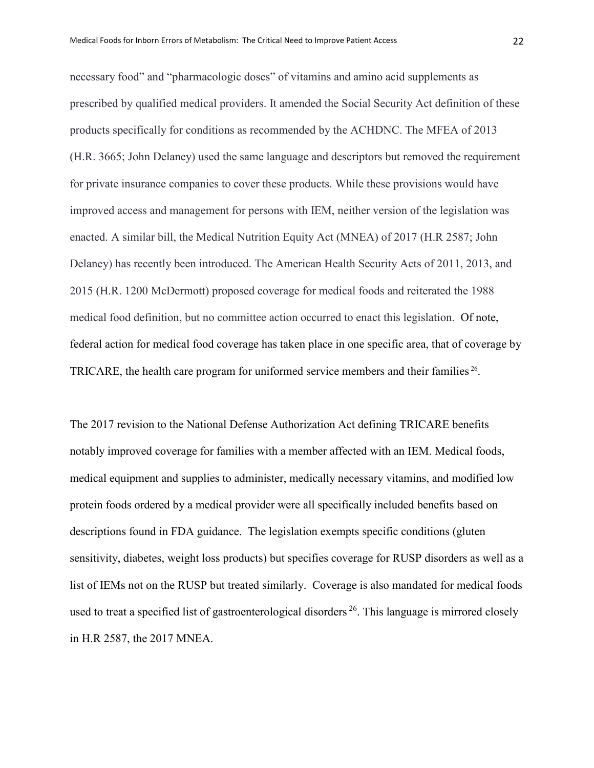necessary food" and "pharmacologic doses" of vitamins and amino acid supplements as prescribed by qualified medical providers. It amended the Social Security Act definition of these products specifically for conditions as recommended by the ACHDNC. The MFEA of 2013 (H.R. 3665; John Delaney) used the same language and descriptors but removed the requirement for private insurance companies to cover these products. While these provisions would have improved access and management for persons with IEM, neither version of the legislation was enacted. A similar bill, the Medical Nutrition Equity Act (MNEA) of 2017 (H.R 2587; John Delaney) has recently been introduced. The American Health Security Acts of 2011, 2013, and 2015 (H.R. 1200 McDermott) proposed coverage for medical foods and reiterated the 1988 medical food definition, but no committee action occurred to enact this legislation. Of note, federal action for medical food coverage has taken place in one specific area, that of coverage by TRICARE, the health care program for uniformed service members and their families <sup>26</sup>.

The 2017 revision to the National Defense Authorization Act defining TRICARE benefits notably improved coverage for families with a member affected with an IEM. Medical foods, medical equipment and supplies to administer, medically necessary vitamins, and modified low protein foods ordered by a medical provider were all specifically included benefits based on descriptions found in FDA guidance. The legislation exempts specific conditions (gluten sensitivity, diabetes, weight loss products) but specifies coverage for RUSP disorders as well as a list of IEMs not on the RUSP but treated similarly. Coverage is also mandated for medical foods used to treat a specified list of gastroenterological disorders <sup>26</sup>. This language is mirrored closely in H.R 2587, the 2017 MNEA.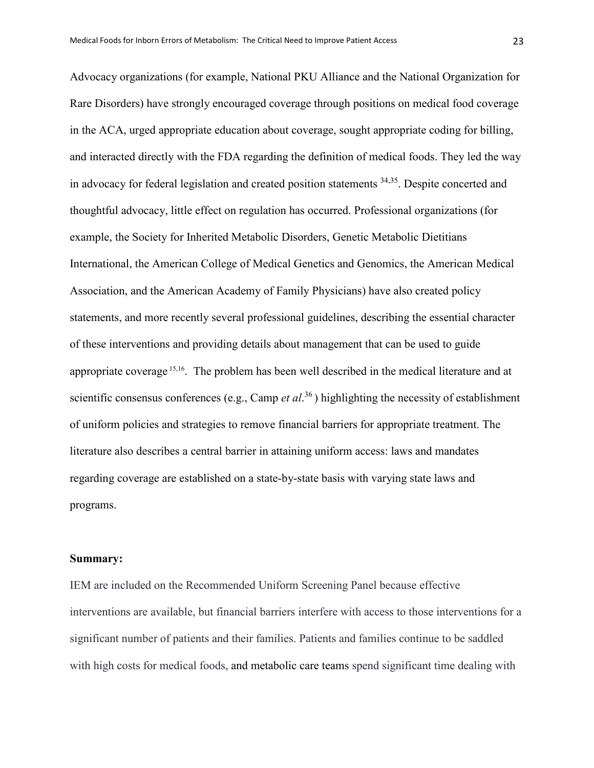Advocacy organizations (for example, National PKU Alliance and the National Organization for Rare Disorders) have strongly encouraged coverage through positions on medical food coverage in the ACA, urged appropriate education about coverage, sought appropriate coding for billing, and interacted directly with the FDA regarding the definition of medical foods. They led the way in advocacy for federal legislation and created position statements 34,35. Despite concerted and thoughtful advocacy, little effect on regulation has occurred. Professional organizations (for example, the Society for Inherited Metabolic Disorders, Genetic Metabolic Dietitians International, the American College of Medical Genetics and Genomics, the American Medical Association, and the American Academy of Family Physicians) have also created policy statements, and more recently several professional guidelines, describing the essential character of these interventions and providing details about management that can be used to guide appropriate coverage 15,16. The problem has been well described in the medical literature and at scientific consensus conferences (e.g., Camp *et al*. <sup>36</sup> ) highlighting the necessity of establishment of uniform policies and strategies to remove financial barriers for appropriate treatment. The literature also describes a central barrier in attaining uniform access: laws and mandates regarding coverage are established on a state-by-state basis with varying state laws and programs.

#### **Summary:**

IEM are included on the Recommended Uniform Screening Panel because effective interventions are available, but financial barriers interfere with access to those interventions for a significant number of patients and their families. Patients and families continue to be saddled with high costs for medical foods, and metabolic care teams spend significant time dealing with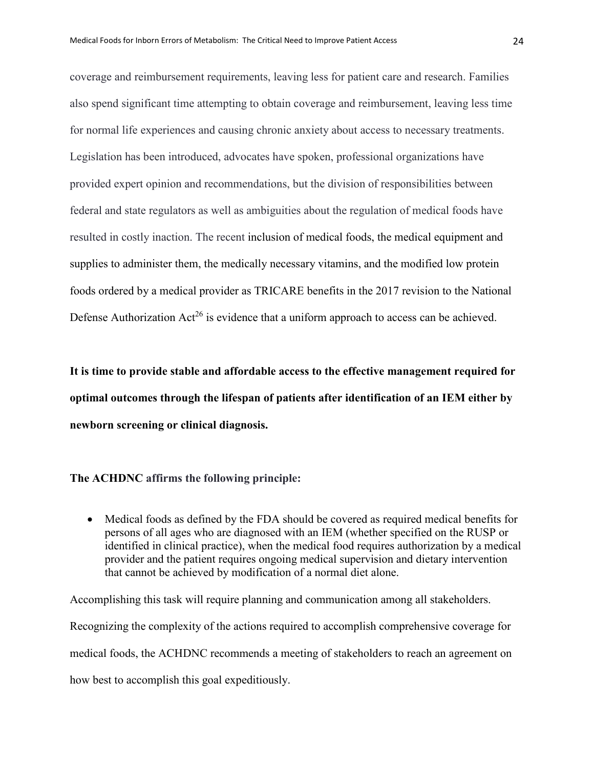coverage and reimbursement requirements, leaving less for patient care and research. Families also spend significant time attempting to obtain coverage and reimbursement, leaving less time for normal life experiences and causing chronic anxiety about access to necessary treatments. Legislation has been introduced, advocates have spoken, professional organizations have provided expert opinion and recommendations, but the division of responsibilities between federal and state regulators as well as ambiguities about the regulation of medical foods have resulted in costly inaction. The recent inclusion of medical foods, the medical equipment and supplies to administer them, the medically necessary vitamins, and the modified low protein foods ordered by a medical provider as TRICARE benefits in the 2017 revision to the National Defense Authorization  $Act^{26}$  is evidence that a uniform approach to access can be achieved.

**It is time to provide stable and affordable access to the effective management required for optimal outcomes through the lifespan of patients after identification of an IEM either by newborn screening or clinical diagnosis.** 

#### **The ACHDNC affirms the following principle:**

• Medical foods as defined by the FDA should be covered as required medical benefits for persons of all ages who are diagnosed with an IEM (whether specified on the RUSP or identified in clinical practice), when the medical food requires authorization by a medical provider and the patient requires ongoing medical supervision and dietary intervention that cannot be achieved by modification of a normal diet alone.

Accomplishing this task will require planning and communication among all stakeholders. Recognizing the complexity of the actions required to accomplish comprehensive coverage for medical foods, the ACHDNC recommends a meeting of stakeholders to reach an agreement on how best to accomplish this goal expeditiously.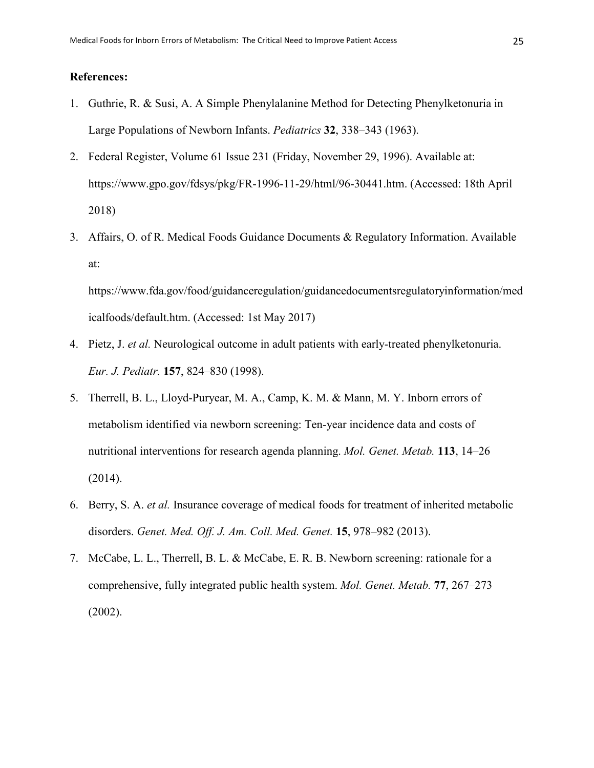# **References:**

- 1. Guthrie, R. & Susi, A. A Simple Phenylalanine Method for Detecting Phenylketonuria in Large Populations of Newborn Infants. *Pediatrics* **32**, 338–343 (1963).
- 2. Federal Register, Volume 61 Issue 231 (Friday, November 29, 1996). Available at: https://www.gpo.gov/fdsys/pkg/FR-1996-11-29/html/96-30441.htm. (Accessed: 18th April 2018)
- 3. Affairs, O. of R. Medical Foods Guidance Documents & Regulatory Information. Available at:

https://www.fda.gov/food/guidanceregulation/guidancedocumentsregulatoryinformation/med icalfoods/default.htm. (Accessed: 1st May 2017)

- 4. Pietz, J. *et al.* Neurological outcome in adult patients with early-treated phenylketonuria. *Eur. J. Pediatr.* **157**, 824–830 (1998).
- 5. Therrell, B. L., Lloyd-Puryear, M. A., Camp, K. M. & Mann, M. Y. Inborn errors of metabolism identified via newborn screening: Ten-year incidence data and costs of nutritional interventions for research agenda planning. *Mol. Genet. Metab.* **113**, 14–26 (2014).
- 6. Berry, S. A. *et al.* Insurance coverage of medical foods for treatment of inherited metabolic disorders. *Genet. Med. Off. J. Am. Coll. Med. Genet.* **15**, 978–982 (2013).
- 7. McCabe, L. L., Therrell, B. L. & McCabe, E. R. B. Newborn screening: rationale for a comprehensive, fully integrated public health system. *Mol. Genet. Metab.* **77**, 267–273 (2002).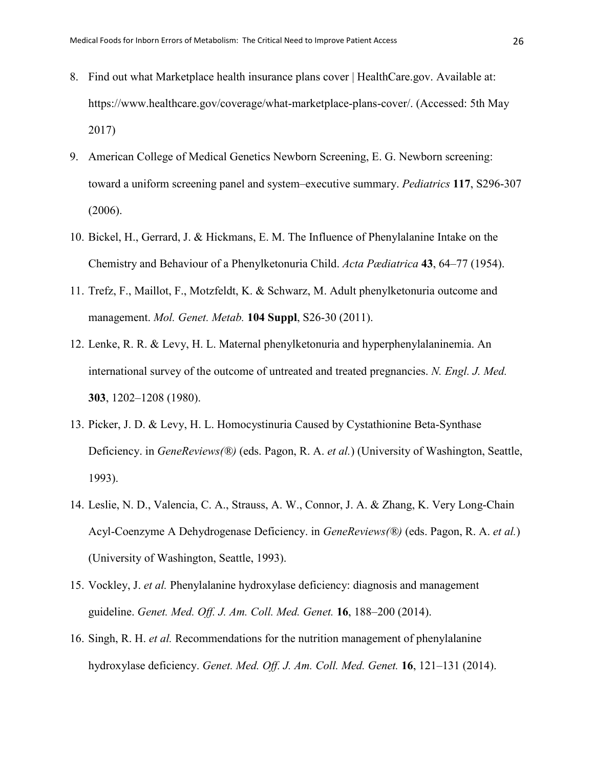- 8. Find out what Marketplace health insurance plans cover | HealthCare.gov. Available at: https://www.healthcare.gov/coverage/what-marketplace-plans-cover/. (Accessed: 5th May 2017)
- 9. American College of Medical Genetics Newborn Screening, E. G. Newborn screening: toward a uniform screening panel and system–executive summary. *Pediatrics* **117**, S296-307 (2006).
- 10. Bickel, H., Gerrard, J. & Hickmans, E. M. The Influence of Phenylalanine Intake on the Chemistry and Behaviour of a Phenylketonuria Child. *Acta Pædiatrica* **43**, 64–77 (1954).
- 11. Trefz, F., Maillot, F., Motzfeldt, K. & Schwarz, M. Adult phenylketonuria outcome and management. *Mol. Genet. Metab.* **104 Suppl**, S26-30 (2011).
- 12. Lenke, R. R. & Levy, H. L. Maternal phenylketonuria and hyperphenylalaninemia. An international survey of the outcome of untreated and treated pregnancies. *N. Engl. J. Med.* **303**, 1202–1208 (1980).
- 13. Picker, J. D. & Levy, H. L. Homocystinuria Caused by Cystathionine Beta-Synthase Deficiency. in *GeneReviews(®)* (eds. Pagon, R. A. *et al.*) (University of Washington, Seattle, 1993).
- 14. Leslie, N. D., Valencia, C. A., Strauss, A. W., Connor, J. A. & Zhang, K. Very Long-Chain Acyl-Coenzyme A Dehydrogenase Deficiency. in *GeneReviews(®)* (eds. Pagon, R. A. *et al.*) (University of Washington, Seattle, 1993).
- 15. Vockley, J. *et al.* Phenylalanine hydroxylase deficiency: diagnosis and management guideline. *Genet. Med. Off. J. Am. Coll. Med. Genet.* **16**, 188–200 (2014).
- 16. Singh, R. H. *et al.* Recommendations for the nutrition management of phenylalanine hydroxylase deficiency. *Genet. Med. Off. J. Am. Coll. Med. Genet.* **16**, 121–131 (2014).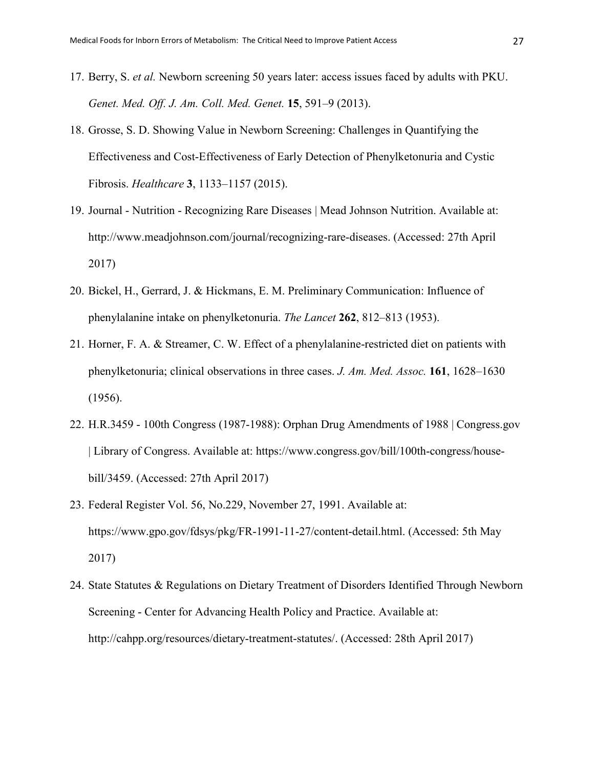- 17. Berry, S. *et al.* Newborn screening 50 years later: access issues faced by adults with PKU. *Genet. Med. Off. J. Am. Coll. Med. Genet.* **15**, 591–9 (2013).
- 18. Grosse, S. D. Showing Value in Newborn Screening: Challenges in Quantifying the Effectiveness and Cost-Effectiveness of Early Detection of Phenylketonuria and Cystic Fibrosis. *Healthcare* **3**, 1133–1157 (2015).
- 19. Journal Nutrition Recognizing Rare Diseases | Mead Johnson Nutrition. Available at: http://www.meadjohnson.com/journal/recognizing-rare-diseases. (Accessed: 27th April 2017)
- 20. Bickel, H., Gerrard, J. & Hickmans, E. M. Preliminary Communication: Influence of phenylalanine intake on phenylketonuria. *The Lancet* **262**, 812–813 (1953).
- 21. Horner, F. A. & Streamer, C. W. Effect of a phenylalanine-restricted diet on patients with phenylketonuria; clinical observations in three cases. *J. Am. Med. Assoc.* **161**, 1628–1630 (1956).
- 22. H.R.3459 100th Congress (1987-1988): Orphan Drug Amendments of 1988 | Congress.gov | Library of Congress. Available at: https://www.congress.gov/bill/100th-congress/housebill/3459. (Accessed: 27th April 2017)
- 23. Federal Register Vol. 56, No.229, November 27, 1991. Available at: https://www.gpo.gov/fdsys/pkg/FR-1991-11-27/content-detail.html. (Accessed: 5th May 2017)
- 24. State Statutes & Regulations on Dietary Treatment of Disorders Identified Through Newborn Screening - Center for Advancing Health Policy and Practice. Available at: http://cahpp.org/resources/dietary-treatment-statutes/. (Accessed: 28th April 2017)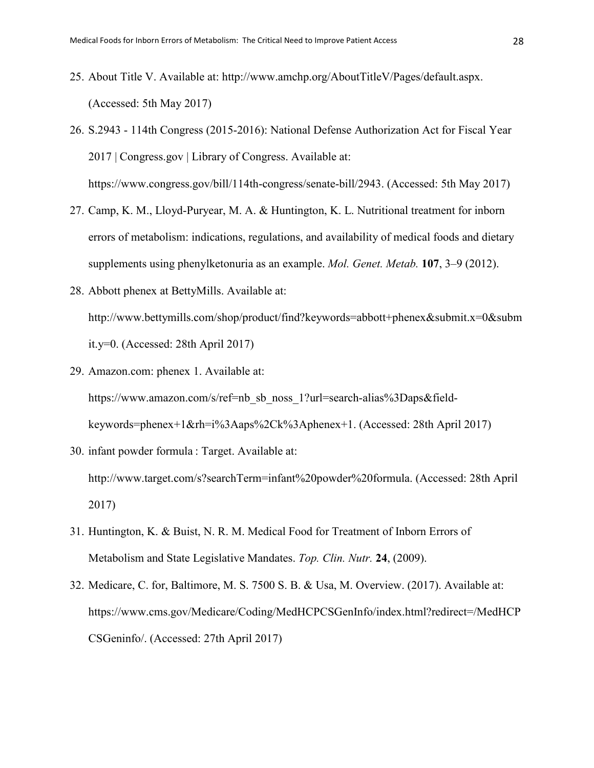- 25. About Title V. Available at: http://www.amchp.org/AboutTitleV/Pages/default.aspx. (Accessed: 5th May 2017)
- 26. S.2943 114th Congress (2015-2016): National Defense Authorization Act for Fiscal Year 2017 | Congress.gov | Library of Congress. Available at: https://www.congress.gov/bill/114th-congress/senate-bill/2943. (Accessed: 5th May 2017)
- 27. Camp, K. M., Lloyd-Puryear, M. A. & Huntington, K. L. Nutritional treatment for inborn errors of metabolism: indications, regulations, and availability of medical foods and dietary supplements using phenylketonuria as an example. *Mol. Genet. Metab.* **107**, 3–9 (2012).
- 28. Abbott phenex at BettyMills. Available at: http://www.bettymills.com/shop/product/find?keywords=abbott+phenex&submit.x=0&subm it.y=0. (Accessed: 28th April 2017)
- 29. Amazon.com: phenex 1. Available at: https://www.amazon.com/s/ref=nb\_sb\_noss\_1?url=search-alias%3Daps&fieldkeywords=phenex+1&rh=i%3Aaps%2Ck%3Aphenex+1. (Accessed: 28th April 2017)
- 30. infant powder formula : Target. Available at: http://www.target.com/s?searchTerm=infant%20powder%20formula. (Accessed: 28th April 2017)
- 31. Huntington, K. & Buist, N. R. M. Medical Food for Treatment of Inborn Errors of Metabolism and State Legislative Mandates. *Top. Clin. Nutr.* **24**, (2009).
- 32. Medicare, C. for, Baltimore, M. S. 7500 S. B. & Usa, M. Overview. (2017). Available at: https://www.cms.gov/Medicare/Coding/MedHCPCSGenInfo/index.html?redirect=/MedHCP CSGeninfo/. (Accessed: 27th April 2017)